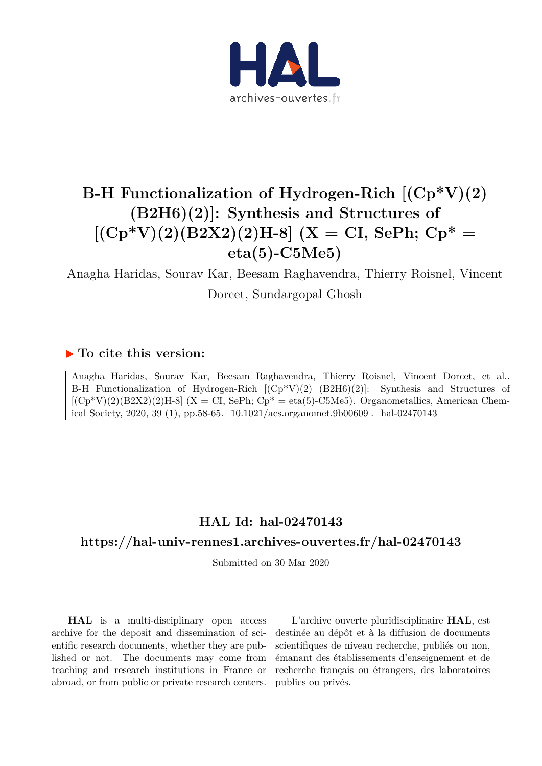

# **B-H Functionalization of Hydrogen-Rich [(Cp\*V)(2) (B2H6)(2)]: Synthesis and Structures of**  $[({\rm Cp*V})(2)({\rm B2X2})(2){\rm H-8}]$   $({\rm X} = {\rm CI, SePh; Cp* =}$ **eta(5)-C5Me5)**

Anagha Haridas, Sourav Kar, Beesam Raghavendra, Thierry Roisnel, Vincent Dorcet, Sundargopal Ghosh

### **To cite this version:**

Anagha Haridas, Sourav Kar, Beesam Raghavendra, Thierry Roisnel, Vincent Dorcet, et al.. B-H Functionalization of Hydrogen-Rich [(Cp\*V)(2) (B2H6)(2)]: Synthesis and Structures of  $[(Cp*V)(2)(B2X2)(2)H-8]$  (X = CI, SePh;  $Cp* = eta(5)-C5Me5)$ . Organometallics, American Chemical Society, 2020, 39 (1), pp.58-65. 10.1021/acs.organomet.9b00609. hal-02470143

## **HAL Id: hal-02470143**

### **https://hal-univ-rennes1.archives-ouvertes.fr/hal-02470143**

Submitted on 30 Mar 2020

**HAL** is a multi-disciplinary open access archive for the deposit and dissemination of scientific research documents, whether they are published or not. The documents may come from teaching and research institutions in France or abroad, or from public or private research centers.

L'archive ouverte pluridisciplinaire **HAL**, est destinée au dépôt et à la diffusion de documents scientifiques de niveau recherche, publiés ou non, émanant des établissements d'enseignement et de recherche français ou étrangers, des laboratoires publics ou privés.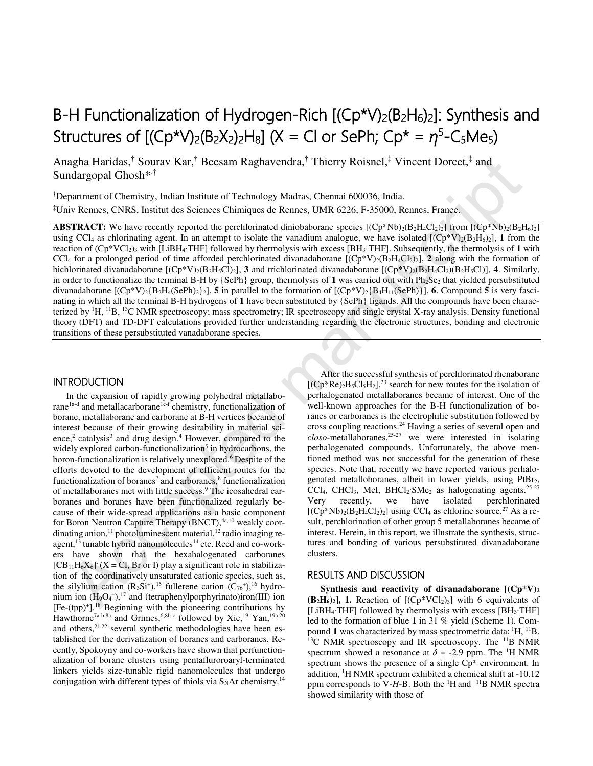# B-H Functionalization of Hydrogen-Rich  $[(Cp*V)<sub>2</sub>(B<sub>2</sub>H<sub>6</sub>)<sub>2</sub>]$ : Synthesis and Structures of  $[(Cp^*V)_2(B_2X_2)_2H_8]$  (X = Cl or SePh;  $Cp^* = \eta^5 - C_5Me_5$ )

Anagha Haridas,<sup>†</sup> Sourav Kar,† Beesam Raghavendra,† Thierry Roisnel,‡ Vincent Dorcet,‡ and Sundargopal Ghosh\*,†

†Department of Chemistry, Indian Institute of Technology Madras, Chennai 600036, India. ‡Univ Rennes, CNRS, Institut des Sciences Chimiques de Rennes, UMR 6226, F-35000, Rennes, France.

**ABSTRACT:** We have recently reported the perchlorinated diniobaborane species  $[(Cp*Nb)_2(B_2H_4Cl_2)_2]$  from  $[(Cp*Nb)_2(B_2H_6)_2]$ using CCL<sub>4</sub> as chlorinating agent. In an attempt to isolate the vanadium analogue, we have isolated  $[(Cp*V)_2(B_2H_6)_2]$ , 1 from the reaction of (Cp\*VCl2)3 with [LiBH4∙THF] followed by thermolysis with excess [BH3·THF]. Subsequently, the thermolysis of **1** with CCl<sub>4</sub> for a prolonged period of time afforded perchlorinated divanadaborane  $[(Cp*V)_2(B_2H_4Cl_2)_2]$ , 2 along with the formation of bichlorinated divanadaborane  $[(Cp*V)_2(B_2H_3C1)_2]$ , **3** and trichlorinated divanadaborane  $[(Cp*V)_2(B_2H_4C1)_2(B_2H_3C1)]$ , **4**. Similarly, in order to functionalize the terminal B-H by  $\{SePh\}$  group, thermolysis of 1 was carried out with  $Ph_2Se_2$  that yielded persubstituted divanadaborane  $[(Cp*V)_2{B_2H_4(SePh)_2}]_2$ , 5 in parallel to the formation of  $[(Cp*V)_2{B_4H_{11}(SePh)}]$ , 6. Compound 5 is very fascinating in which all the terminal B-H hydrogens of **1** have been substituted by {SePh} ligands. All the compounds have been characterized by  ${}^{1}H$ ,  ${}^{11}B$ ,  ${}^{13}C$  NMR spectroscopy; mass spectrometry; IR spectroscopy and single crystal X-ray analysis. Density functional theory (DFT) and TD-DFT calculations provided further understanding regarding the electronic structures, bonding and electronic transitions of these persubstituted vanadaborane species. agha Haridas,<sup>1</sup> Source War,<sup>1</sup> Beesam Raghavendra,<sup>1</sup> Thierry Roisnel,<sup>2</sup> Vincent Dorcet,<sup>2</sup> and<br>
narmout of Chemistry, Indian Institute of Technology Madras, Chemai 600036, India<br>
narmout of Chemistry, Indian Institute

#### INTRODUCTION

In the expansion of rapidly growing polyhedral metallaborane<sup>1a-d</sup> and metallacarborane<sup>1e-f</sup> chemistry, functionalization of borane, metallaborane and carborane at B-H vertices became of interest because of their growing desirability in material science,<sup>2</sup> catalysis<sup>3</sup> and drug design.<sup>4</sup> However, compared to the widely explored carbon-functionalization<sup>5</sup> in hydrocarbons, the boron-functionalization is relatively unexplored.<sup>6</sup> Despite of the efforts devoted to the development of efficient routes for the functionalization of boranes<sup>7</sup> and carboranes,<sup>8</sup> functionalization of metallaboranes met with little success.<sup>9</sup> The icosahedral carboranes and boranes have been functionalized regularly because of their wide-spread applications as a basic component for Boron Neutron Capture Therapy (BNCT),<sup>4a,10</sup> weakly coordinating anion,<sup>11</sup> photoluminescent material,<sup>12</sup> radio imaging reagent, $13$  tunable hybrid nanomolecules<sup>14</sup> etc. Reed and co-workers have shown that the hexahalogenated carboranes  $[CB<sub>11</sub>H<sub>6</sub>X<sub>6</sub>]$  (X = Cl, Br or I) play a significant role in stabilization of the coordinatively unsaturated cationic species, such as, the silylium cation  $(R_3Si^+),^{15}$  fullerene cation  $(C_{76}^+),^{16}$  hydronium ion  $(H_9O_4^+),^{17}$  and (tetraphenylporphyrinato)iron(III) ion [Fe-(tpp)<sup>+</sup> ].<sup>18</sup> Beginning with the pioneering contributions by Hawthorne<sup>7a-b,8a</sup> and Grimes,<sup>6,8b-c</sup> followed by Xie,<sup>19</sup> Yan,<sup>19a,20</sup> and others, $2^{1,22}$  several synthetic methodologies have been established for the derivatization of boranes and carboranes. Recently, Spokoyny and co-workers have shown that perfunctionalization of borane clusters using pentafluroroaryl-terminated linkers yields size-tunable rigid nanomolecules that undergo conjugation with different types of thiols via  $S<sub>N</sub>Ar$  chemistry.<sup>14</sup>

After the successful synthesis of perchlorinated rhenaborane  $[(Cp*Re)<sub>2</sub>B<sub>5</sub>Cl<sub>5</sub>H<sub>2</sub>]<sub>2</sub><sup>23</sup>$  search for new routes for the isolation of perhalogenated metallaboranes became of interest. One of the well-known approaches for the B-H functionalization of boranes or carboranes is the electrophilic substitution followed by cross coupling reactions.<sup>24</sup> Having a series of several open and *closo*-metallaboranes,25-27 we were interested in isolating perhalogenated compounds. Unfortunately, the above mentioned method was not successful for the generation of these species. Note that, recently we have reported various perhalogenated metalloboranes, albeit in lower yields, using PtBr<sub>2</sub>, CCl<sub>4</sub>, CHCl<sub>3</sub>, MeI, BHCl<sub>2</sub>⋅SMe<sub>2</sub> as halogenating agents.<sup>25-27</sup><br>Very recently, we have isolated perchlorinated Very recently, we have isolated perchlorinated  $[(Cp*Nb)<sub>2</sub>(B<sub>2</sub>H<sub>4</sub>Cl<sub>2</sub>)<sub>2</sub>]$  using CCl<sub>4</sub> as chlorine source.<sup>27</sup> As a result, perchlorination of other group 5 metallaboranes became of interest. Herein, in this report, we illustrate the synthesis, structures and bonding of various persubstituted divanadaborane clusters.

#### RESULTS AND DISCUSSION

**Synthesis and reactivity of divanadaborane [(Cp\*V)<sup>2</sup>**  $(B_2H_6)_2$ , 1. Reaction of  $[(Cp*VCl_2)_3]$  with 6 equivalents of [LiBH4∙THF] followed by thermolysis with excess [BH3∙THF] led to the formation of blue **1** in 31 % yield (Scheme 1). Compound 1 was characterized by mass spectrometric data;  ${}^{1}H$ ,  ${}^{11}B$ ,  $^{13}$ C NMR spectroscopy and IR spectroscopy. The  $^{11}$ B NMR spectrum showed a resonance at  $\delta$  = -2.9 ppm. The <sup>1</sup>H NMR spectrum shows the presence of a single  $Cp^*$  environment. In addition, <sup>1</sup>H NMR spectrum exhibited a chemical shift at -10.12 ppm corresponds to V-H-B. Both the  ${}^{1}H$  and  ${}^{11}B$  NMR spectra showed similarity with those of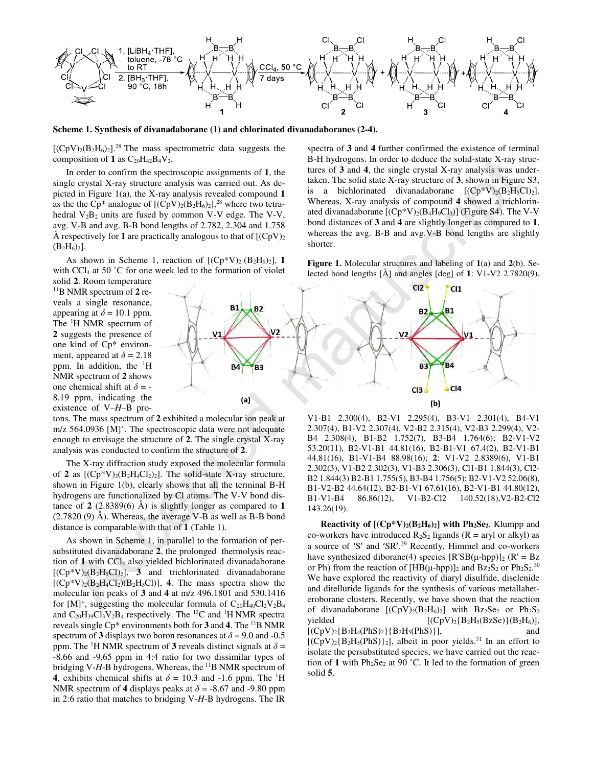

**Scheme 1. Synthesis of divanadaborane (1) and chlorinated divanadaboranes (2-4).** 

 $[(CpV)<sub>2</sub>(B<sub>2</sub>H<sub>6</sub>)<sub>2</sub>]<sup>28</sup>$  The mass spectrometric data suggests the composition of  $1$  as  $C_{20}H_{42}B_4V_2$ .

In order to confirm the spectroscopic assignments of **1**, the single crystal X-ray structure analysis was carried out. As depicted in Figure 1(a), the X-ray analysis revealed compound **1** as the the Cp\* analogue of  $[(CpV)<sub>2</sub>(B<sub>2</sub>H<sub>6</sub>)<sub>2</sub>]<sup>28</sup>$  where two tetrahedral  $V_2B_2$  units are fused by common V-V edge. The V-V, avg. V-B and avg. B-B bond lengths of 2.782, 2.304 and 1.758 Å respectively for 1 are practically analogous to that of  $[(CpV)_2]$  $(B_2H_6)_2$ .

As shown in Scheme 1, reaction of  $[(Cp*V)_2 (B_2H_6)_2]$ , 1 with CCl<sub>4</sub> at 50 °C for one week led to the formation of violet

solid **2**. Room temperature <sup>11</sup>B NMR spectrum of **2** reveals a single resonance, appearing at  $\delta = 10.1$  ppm. The <sup>1</sup>H NMR spectrum of **2** suggests the presence of one kind of Cp\* environment, appeared at  $\delta = 2.18$ ppm. In addition, the  ${}^{1}H$ NMR spectrum of **2** shows one chemical shift at  $\delta$  = -8.19 ppm, indicating the existence of V–*H*–B pro-

tons. The mass spectrum of **2** exhibited a molecular ion peak at m/z 564.0936 [M]<sup>+</sup>. The spectroscopic data were not adequate enough to envisage the structure of **2**. The single crystal X-ray analysis was conducted to confirm the structure of **2**.

The X-ray diffraction study exposed the molecular formula of **2** as  $[(Cp*V)_2(B_2H_4Cl_2)_2]$ . The solid-state X-ray structure, shown in Figure 1(b), clearly shows that all the terminal B-H hydrogens are functionalized by Cl atoms. The V-V bond distance of **2** (2.8389(6) Å) is slightly longer as compared to **1** (2.7820 (9) Å). Whereas, the average V-B as well as B-B bond distance is comparable with that of **1** (Table 1).

As shown in Scheme 1, in parallel to the formation of persubstituted divanadaborane **2**, the prolonged thermolysis reaction of 1 with CCl<sub>4</sub> also yielded bichlorinated divanadaborane  $[(Cp*V)_2(B_2H_5Cl)_2]$ , **3** and trichlorinated divanadaborane  $[(Cp*V)<sub>2</sub>(B<sub>2</sub>H<sub>4</sub>Cl<sub>2</sub>)(B<sub>2</sub>H<sub>5</sub>Cl)]$ , **4**. The mass spectra show the molecular ion peaks of **3** and **4** at m/z 496.1801 and 530.1416 for  $[M]^+$ , suggesting the molecular formula of  $C_{20}H_{40}Cl_2V_2B_4$ and  $C_{20}H_{39}Cl_3V_2B_4$  respectively. The <sup>13</sup>C and <sup>1</sup>H NMR spectra reveals single Cp\* environments both for **3** and **4**. The <sup>11</sup>B NMR spectrum of **3** displays two boron resonances at  $\delta$  = 9.0 and -0.5 ppm. The <sup>1</sup>H NMR spectrum of **3** reveals distinct signals at  $\delta$  = -8.66 and -9.65 ppm in 4:4 ratio for two dissimilar types of bridging V-H-B hydrogens. Whereas, the <sup>11</sup>B NMR spectrum of **4**, exhibits chemical shifts at  $\delta = 10.3$  and -1.6 ppm. The <sup>1</sup>H NMR spectrum of **4** displays peaks at  $\delta$  = -8.67 and -9.80 ppm in 2:6 ratio that matches to bridging V-*H*-B hydrogens. The IR

spectra of **3** and **4** further confirmed the existence of terminal B-H hydrogens. In order to deduce the solid-state X-ray structures of **3** and **4**, the single crystal X-ray analysis was undertaken. The solid state X-ray structure of **3**, shown in Figure S3, is a bichlorinated divanadaborane  $[(Cp*V)_2(B_2H_5Cl)_2]$ . Whereas, X-ray analysis of compound **4** showed a trichlorinated divanadaborane  $[(Cp*V)_2(B_4H_9Cl_3)]$  (Figure S4). The V-V bond distances of **3** and **4** are slightly longer as compared to **1**, whereas the avg. B-B and avg.V-B bond lengths are slightly shorter.

**Figure 1.** Molecular structures and labeling of **1**(a) and **2**(b). Selected bond lengths [Å] and angles [deg] of **1**: V1-V2 2.7820(9),



V1-B1 2.300(4), B2-V1 2.295(4), B3-V1 2.301(4), B4-V1 2.307(4), B1-V2 2.307(4), V2-B2 2.315(4), V2-B3 2.299(4), V2- B4 2.308(4), B1-B2 1.752(7), B3-B4 1.764(6); B2-V1-V2 53.20(11), B2-V1-B1 44.81(16), B2-B1-V1 67.4(2), B2-V1-B1 44.81(16), B1-V1-B4 88.98(16); **2**: V1-V2 2.8389(6), V1-B1 2.302(3), V1-B2 2.302(3), V1-B3 2.306(3), Cl1-B1 1.844(3), Cl2- B2 1.844(3) B2-B1 1.755(5), B3-B4 1.756(5); B2-V1-V2 52.06(8), B1-V2-B2 44.64(12), B2-B1-V1 67.61(16), B2-V1-B1 44.80(12), B1-V1-B4 86.86(12), V1-B2-Cl2 140.52(18),V2-B2-Cl2 143.26(19).

**Reactivity of [(Cp\*V)2(B2H6)2] with Ph2Se2**. Klumpp and co-workers have introduced  $R_2S_2$  ligands ( $R = \text{aryl}$  or alkyl) as a source of 'S' and 'SR'. <sup>29</sup> Recently, Himmel and co-workers have synthesized diborane(4) species  $[R'SB(\mu-hpp)]_2$  ( $R' = Bz$ ) or Ph) from the reaction of  $[HB(\mu-hpp)]_2$  and  $Bz_2S_2$  or  $Ph_2S_2$ .<sup>30</sup> We have explored the reactivity of diaryl disulfide, diselenide and ditelluride ligands for the synthesis of various metallaheteroborane clusters. Recently, we have shown that the reaction of divanadaborane  $[(CpV)_2(B_2H_6)_2]$  with  $Bz_2Se_2$  or  $Ph_2S_2$ yielded  $[(CpV)_2{B_2H_5(BzSe)}(B_2H_6)],$  $[(CpV)<sub>2</sub>{B<sub>2</sub>H<sub>4</sub>(PhS)<sub>2</sub>}{B<sub>2</sub>H<sub>5</sub>(PhS)}],$  and  $[(CpV)_2{B_2H_5(PhS)}_2]$ , albeit in poor yields.<sup>31</sup> In an effort to isolate the persubstituted species, we have carried out the reaction of 1 with  $Ph_2Se_2$  at 90 °C. It led to the formation of green solid **5**.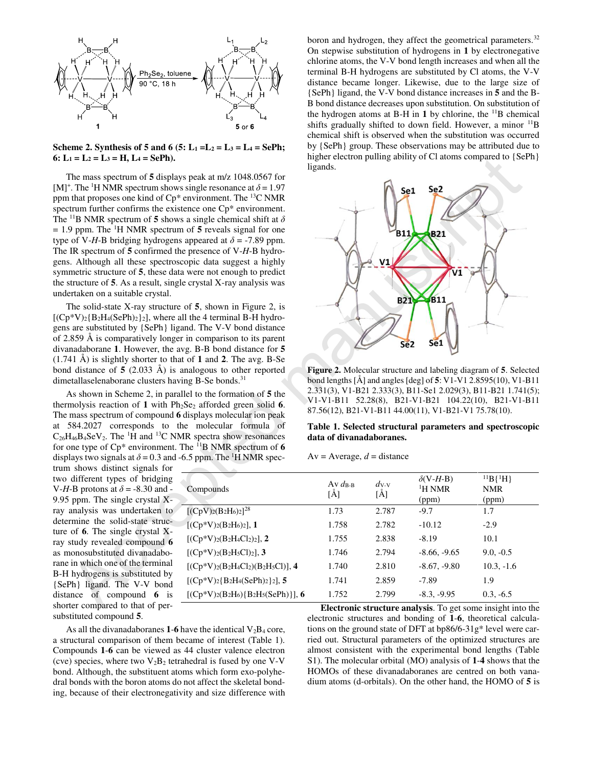

**Scheme 2. Synthesis of 5 and 6 (5:**  $L_1 = L_2 = L_3 = L_4 = \text{SePh};$  $6: L_1 = L_2 = L_3 = H, L_4 = SePh.$ 

The mass spectrum of **5** displays peak at m/z 1048.0567 for [M]<sup>+</sup>. The <sup>1</sup>H NMR spectrum shows single resonance at  $\delta$  = 1.97 ppm that proposes one kind of  $Cp^*$  environment. The <sup>13</sup>C NMR spectrum further confirms the existence one  $Cp^*$  environment. The <sup>11</sup>B NMR spectrum of **5** shows a single chemical shift at *δ*  $= 1.9$  ppm. The <sup>1</sup>H NMR spectrum of 5 reveals signal for one type of V-*H*-B bridging hydrogens appeared at  $\delta$  = -7.89 ppm. The IR spectrum of **5** confirmed the presence of V-*H*-B hydrogens. Although all these spectroscopic data suggest a highly symmetric structure of **5**, these data were not enough to predict the structure of **5**. As a result, single crystal X-ray analysis was undertaken on a suitable crystal.

The solid-state X-ray structure of **5**, shown in Figure 2, is  $[(Cp*V)<sub>2</sub>{B<sub>2</sub>H<sub>4</sub>(SePh)<sub>2</sub>}<sub>2</sub>]$ , where all the 4 terminal B-H hydrogens are substituted by {SePh} ligand. The V-V bond distance of 2.859 Å is comparatively longer in comparison to its parent divanadaborane **1**. However, the avg. B-B bond distance for **5** (1.741 Å) is slightly shorter to that of **1** and **2**. The avg. B-Se bond distance of **5** (2.033 Å) is analogous to other reported dimetallaselenaborane clusters having B-Se bonds.<sup>31</sup>

As shown in Scheme 2, in parallel to the formation of **5** the thermolysis reaction of 1 with  $Ph<sub>2</sub>Se<sub>2</sub>$  afforded green solid 6. The mass spectrum of compound **6** displays molecular ion peak at 584.2027 corresponds to the molecular formula of  $C_{26}H_{46}B_4SeV_2$ . The <sup>1</sup>H and <sup>13</sup>C NMR spectra show resonances for one type of  $Cp^*$  environment. The  $^{11}B$  NMR spectrum of 6 displays two signals at  $\delta$  = 0.3 and -6.5 ppm. The <sup>1</sup>H NMR spec-

trum shows distinct signals for two different types of bridging V-*H*-B protons at *δ* = -8.30 and - 9.95 ppm. The single crystal Xray analysis was undertaken to determine the solid-state structure of **6**. The single crystal Xray study revealed compound **6** as monosubstituted divanadaborane in which one of the terminal B-H hydrogens is substituted by {SePh} ligand. The V-V bond distance of compound **6** is shorter compared to that of persubstituted compound **5**.

boron and hydrogen, they affect the geometrical parameters.<sup>32</sup> On stepwise substitution of hydrogens in **1** by electronegative chlorine atoms, the V-V bond length increases and when all the terminal B-H hydrogens are substituted by Cl atoms, the V-V distance became longer. Likewise, due to the large size of {SePh} ligand, the V-V bond distance increases in **5** and the B-B bond distance decreases upon substitution. On substitution of the hydrogen atoms at B-H in **1** by chlorine, the <sup>11</sup>B chemical shifts gradually shifted to down field. However, a minor  $^{11}B$ chemical shift is observed when the substitution was occurred by {SePh} group. These observations may be attributed due to higher electron pulling ability of Cl atoms compared to  ${Seph}$ ligands.



**Figure 2.** Molecular structure and labeling diagram of **5**. Selected bond lengths [Å] and angles [deg] of **5**: V1-V1 2.8595(10), V1-B11 2.331(3), V1-B21 2.333(3), B11-Se1 2.029(3), B11-B21 1.741(5); V1-V1-B11 52.28(8), B21-V1-B21 104.22(10), B21-V1-B11 87.56(12), B21-V1-B11 44.00(11), V1-B21-V1 75.78(10).

| $Av = Average, d = distance$ |  |  |
|------------------------------|--|--|
|------------------------------|--|--|

| $L_1 = L_2 = L_3 = H$ , $L_4 = SePh$ ).                                                                                                                                                                                                                                                                                                                                                                                                                                                                                                                                                                                                                                                                                                                                                                                            |                                                             | nigher electron pulling ability of $C_1$ atoms compared to $\{Sern\}$<br>ligands. |                               |                                                                                                                                                                                                                                                      |                                                               |  |  |  |
|------------------------------------------------------------------------------------------------------------------------------------------------------------------------------------------------------------------------------------------------------------------------------------------------------------------------------------------------------------------------------------------------------------------------------------------------------------------------------------------------------------------------------------------------------------------------------------------------------------------------------------------------------------------------------------------------------------------------------------------------------------------------------------------------------------------------------------|-------------------------------------------------------------|-----------------------------------------------------------------------------------|-------------------------------|------------------------------------------------------------------------------------------------------------------------------------------------------------------------------------------------------------------------------------------------------|---------------------------------------------------------------|--|--|--|
| The mass spectrum of 5 displays peak at m/z 1048.0567 for<br><sup>+</sup> . The <sup>1</sup> H NMR spectrum shows single resonance at $\delta$ = 1.97<br>i that proposes one kind of $Cp^*$ environment. The <sup>13</sup> C NMR<br>experiment. Extram further confirms the existence one Cp* environment.<br><sup>11</sup> B NMR spectrum of 5 shows a single chemical shift at $\delta$<br>9 ppm. The <sup>1</sup> H NMR spectrum of 5 reveals signal for one<br>of V-H-B bridging hydrogens appeared at $\delta$ = -7.89 ppm.<br>IR spectrum of $5$ confirmed the presence of V- $H$ -B hydro-<br>s. Although all these spectroscopic data suggest a highly<br>metric structure of 5, these data were not enough to predict<br>structure of 5. As a result, single crystal X-ray analysis was<br>ertaken on a suitable crystal. |                                                             |                                                                                   | Se1<br>B11                    | Se <sub>2</sub><br><b>B21</b><br><b>B11</b>                                                                                                                                                                                                          |                                                               |  |  |  |
| The solid-state X-ray structure of $5$ , shown in Figure 2, is<br>$(3^*V)_2{B_2H_4(SePh)_2}_2$ , where all the 4 terminal B-H hydro-<br>s are substituted by {SePh} ligand. The V-V bond distance<br>$0.859$ Å is comparatively longer in comparison to its parent<br>unadaborane 1. However, the avg. B-B bond distance for 5<br>41 Å) is slightly shorter to that of 1 and 2. The avg. B-Se<br>d distance of $5$ (2.033 Å) is analogous to other reported                                                                                                                                                                                                                                                                                                                                                                        |                                                             |                                                                                   | <b>B21</b><br>Se <sub>2</sub> | Se <sub>1</sub><br>Figure 2. Molecular structure and labeling diagram of 5. Selected                                                                                                                                                                 |                                                               |  |  |  |
| etallaselenaborane clusters having B-Se bonds. <sup>31</sup><br>As shown in Scheme 2, in parallel to the formation of 5 the<br>molysis reaction of 1 with $Ph2Se2$ afforded green solid 6.<br>mass spectrum of compound 6 displays molecular ion peak                                                                                                                                                                                                                                                                                                                                                                                                                                                                                                                                                                              |                                                             |                                                                                   |                               | bond lengths [Å] and angles [deg] of 5: V1-V1 2.8595(10), V1-B11<br>2.331(3), V1-B21 2.333(3), B11-Se1 2.029(3), B11-B21 1.741(5);<br>V1-V1-B11 52.28(8), B21-V1-B21 104.22(10), B21-V1-B11<br>87.56(12), B21-V1-B11 44.00(11), V1-B21-V1 75.78(10). |                                                               |  |  |  |
| 584.2027 corresponds to the molecular formula of<br>$H_{46}B_4SeV_2$ . The <sup>1</sup> H and <sup>13</sup> C NMR spectra show resonances                                                                                                                                                                                                                                                                                                                                                                                                                                                                                                                                                                                                                                                                                          |                                                             | data of divanadaboranes.                                                          |                               | Table 1. Selected structural parameters and spectroscopic                                                                                                                                                                                            |                                                               |  |  |  |
| one type of $Cp^*$ environment. The $^{11}B$ NMR spectrum of 6<br>lays two signals at $\delta$ = 0.3 and -6.5 ppm. The <sup>1</sup> H NMR spec-<br>n shows distinct signals for                                                                                                                                                                                                                                                                                                                                                                                                                                                                                                                                                                                                                                                    |                                                             | $Av = Average, d = distance$                                                      |                               |                                                                                                                                                                                                                                                      |                                                               |  |  |  |
| different types of bridging<br><i>I</i> -B protons at $\delta$ = -8.30 and -<br>$5$ ppm. The single crystal $X-$                                                                                                                                                                                                                                                                                                                                                                                                                                                                                                                                                                                                                                                                                                                   | Compounds                                                   | Av $d_{\text{B-B}}$<br>$[\AA]$                                                    | $d$ v-v<br>$[\AA]$            | $\delta$ (V-H-B)<br>$^1\mathrm{H}$ NMR<br>(ppm)                                                                                                                                                                                                      | ${}^{11}B\{{}^{1}H\}$<br>$\ensuremath{\mathsf{NMR}}$<br>(ppm) |  |  |  |
| analysis was undertaken to                                                                                                                                                                                                                                                                                                                                                                                                                                                                                                                                                                                                                                                                                                                                                                                                         | $[(CpV)2(B2H6)2]28$                                         | 1.73                                                                              | 2.787                         | $-9.7$                                                                                                                                                                                                                                               | 1.7                                                           |  |  |  |
| ermine the solid-state struc-                                                                                                                                                                                                                                                                                                                                                                                                                                                                                                                                                                                                                                                                                                                                                                                                      | $[(Cp*V)_{2}(B_{2}H_{6})_{2}], 1]$                          | 1.758                                                                             | 2.782                         | $-10.12$                                                                                                                                                                                                                                             | $-2.9$                                                        |  |  |  |
| of 6. The single crystal X-<br>study revealed compound 6                                                                                                                                                                                                                                                                                                                                                                                                                                                                                                                                                                                                                                                                                                                                                                           | $[(Cp*V)_{2}(B_{2}H_{4}Cl_{2})_{2}],$ 2                     | 1.755                                                                             | 2.838                         | $-8.19$                                                                                                                                                                                                                                              | 10.1                                                          |  |  |  |
| nonosubstituted divanadabo-                                                                                                                                                                                                                                                                                                                                                                                                                                                                                                                                                                                                                                                                                                                                                                                                        | [ $(Cp*V)_{2}(B_{2}H_{5}Cl)_{2}$ ], 3                       | 1.746                                                                             | 2.794                         | $-8.66, -9.65$                                                                                                                                                                                                                                       | $9.0, -0.5$                                                   |  |  |  |
| in which one of the terminal                                                                                                                                                                                                                                                                                                                                                                                                                                                                                                                                                                                                                                                                                                                                                                                                       | $[(Cp*V)2(B2H4Cl2)(B2H5Cl)],$ 4                             | 1.740                                                                             | 2.810                         | $-8.67, -9.80$                                                                                                                                                                                                                                       | $10.3, -1.6$                                                  |  |  |  |
| I hydrogens is substituted by                                                                                                                                                                                                                                                                                                                                                                                                                                                                                                                                                                                                                                                                                                                                                                                                      | $[(Cp*V)_{2} {B_{2}H_{4}(SePh)_{2}}]_{2}$ , 5               | 1.741                                                                             | 2.859                         | $-7.89$                                                                                                                                                                                                                                              | 1.9                                                           |  |  |  |
| Ph} ligand. The V-V bond<br>ance of compound 6 is                                                                                                                                                                                                                                                                                                                                                                                                                                                                                                                                                                                                                                                                                                                                                                                  | $[(Cp*V)2(B2H6)(B2H5(SePh)}],$ 6                            | 1.752                                                                             | 2.799                         | $-8.3, -9.95$                                                                                                                                                                                                                                        | $0.3, -6.5$                                                   |  |  |  |
| rter compared to that of per-                                                                                                                                                                                                                                                                                                                                                                                                                                                                                                                                                                                                                                                                                                                                                                                                      | Electronic structure analysis. To get some insight into the |                                                                                   |                               |                                                                                                                                                                                                                                                      |                                                               |  |  |  |
|                                                                                                                                                                                                                                                                                                                                                                                                                                                                                                                                                                                                                                                                                                                                                                                                                                    |                                                             |                                                                                   |                               |                                                                                                                                                                                                                                                      |                                                               |  |  |  |

As all the divanadaboranes **1-6** have the identical  $V_2B_4$  core, a structural comparison of them became of interest (Table 1). Compounds **1**-**6** can be viewed as 44 cluster valence electron (cve) species, where two  $V_2B_2$  tetrahedral is fused by one V-V bond. Although, the substituent atoms which form exo-polyhedral bonds with the boron atoms do not affect the skeletal bonding, because of their electronegativity and size difference with

**Electronic structure analysis**. To get some insight into the electronic structures and bonding of **1**-**6**, theoretical calculations on the ground state of DFT at bp86/6-31g\* level were carried out. Structural parameters of the optimized structures are almost consistent with the experimental bond lengths (Table S1). The molecular orbital (MO) analysis of **1**-**4** shows that the HOMOs of these divanadaboranes are centred on both vanadium atoms (d-orbitals). On the other hand, the HOMO of **5** is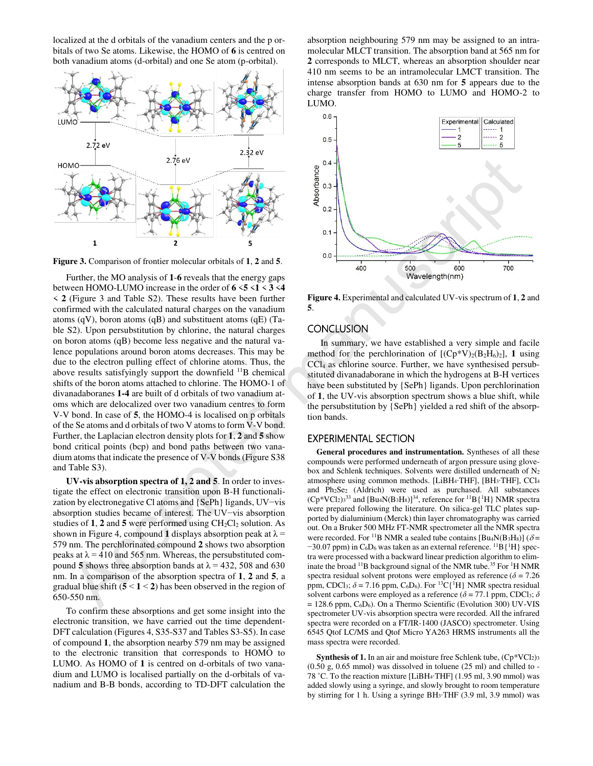localized at the d orbitals of the vanadium centers and the p orbitals of two Se atoms. Likewise, the HOMO of **6** is centred on both vanadium atoms (d-orbital) and one Se atom (p-orbital).



**Figure 3.** Comparison of frontier molecular orbitals of **1**, **2** and **5**.

Further, the MO analysis of **1**-**6** reveals that the energy gaps between HOMO-LUMO increase in the order of **6** <**5** <**1** < **3** <**4** < **2** (Figure 3 and Table S2). These results have been further confirmed with the calculated natural charges on the vanadium atoms (qV), boron atoms (qB) and substituent atoms (qE) (Table S2). Upon persubstitution by chlorine, the natural charges on boron atoms (qB) become less negative and the natural valence populations around boron atoms decreases. This may be due to the electron pulling effect of chlorine atoms. Thus, the above results satisfyingly support the downfield  $^{11}B$  chemical shifts of the boron atoms attached to chlorine. The HOMO-1 of divanadaboranes **1-4** are built of d orbitals of two vanadium atoms which are delocalized over two vanadium centres to form V-V bond. In case of **5**, the HOMO-4 is localised on p orbitals of the Se atoms and d orbitals of two V atoms to form V-V bond. Further, the Laplacian electron density plots for **1**, **2** and **5** show bond critical points (bcp) and bond paths between two vanadium atoms that indicate the presence of V-V bonds (Figure S38 and Table S3). 278<br>
Accepted manuscript ( $\frac{1}{2}$ <br>
Accepted manuscript ( $\frac{1}{2}$ <br>
Accepted manuscript ( $\frac{1}{2}$ <br>
Accepted manuscript ( $\frac{1}{2}$ <br>
Accepted manuscript ( $\frac{1}{2}$ <br>
Accepted manuscript ( $\frac{1}{2}$ <br>
Accepted manuscript ( $\frac$ 

**UV-vis absorption spectra of 1, 2 and 5**. In order to investigate the effect on electronic transition upon B-H functionalization by electronegative Cl atoms and {SePh} ligands, UV−vis absorption studies became of interest. The UV−vis absorption studies of  $1$ ,  $2$  and  $5$  were performed using  $CH_2Cl_2$  solution. As shown in Figure 4, compound 1 displays absorption peak at  $\lambda$  = 579 nm. The perchlorinated compound **2** shows two absorption peaks at  $\lambda$  = 410 and 565 nm. Whereas, the persubstituted compound 5 shows three absorption bands at  $\lambda = 432$ , 508 and 630 nm. In a comparison of the absorption spectra of **1**, **2** and **5**, a gradual blue shift  $(5 < 1 < 2)$  has been observed in the region of 650-550 nm.

To confirm these absorptions and get some insight into the electronic transition, we have carried out the time dependent-DFT calculation (Figures 4, S35-S37 and Tables S3-S5). In case of compound **1**, the absorption nearby 579 nm may be assigned to the electronic transition that corresponds to HOMO to LUMO. As HOMO of **1** is centred on d-orbitals of two vanadium and LUMO is localised partially on the d-orbitals of vanadium and B-B bonds, according to TD-DFT calculation the

absorption neighbouring 579 nm may be assigned to an intramolecular MLCT transition. The absorption band at 565 nm for **2** corresponds to MLCT, whereas an absorption shoulder near 410 nm seems to be an intramolecular LMCT transition. The intense absorption bands at 630 nm for **5** appears due to the charge transfer from HOMO to LUMO and HOMO-2 to LUMO.



**Figure 4.** Experimental and calculated UV-vis spectrum of **1**, **2** and **5**.

#### **CONCLUSION**

In summary, we have established a very simple and facile method for the perchlorination of  $[(Cp*V)_2(B_2H_6)_2]$ , 1 using CCl4 as chlorine source. Further, we have synthesised persubstituted divanadaborane in which the hydrogens at B-H vertices have been substituted by {SePh} ligands. Upon perchlorination of **1**, the UV-vis absorption spectrum shows a blue shift, while the persubstitution by {SePh} yielded a red shift of the absorption bands.

#### EXPERIMENTAL SECTION

**General procedures and instrumentation.** Syntheses of all these compounds were performed underneath of argon pressure using glovebox and Schlenk techniques. Solvents were distilled underneath of N<sup>2</sup> atmosphere using common methods. [LiBH4∙THF], [BH3∙THF], CCl<sup>4</sup> and Ph2Se2 (Aldrich) were used as purchased. All substances  $(Cp*VCl<sub>2</sub>)<sub>3</sub><sup>33</sup>$  and  $[Bu<sub>4</sub>N(B<sub>3</sub>H<sub>8</sub>)]<sup>34</sup>$ , reference for  ${}^{11}B\{ {}^{1}H\}$  NMR spectra were prepared following the literature. On silica-gel TLC plates supported by dialuminium (Merck) thin layer chromatography was carried out. On a Bruker 500 MHz FT-NMR spectrometer all the NMR spectra were recorded. For <sup>11</sup>B NMR a sealed tube contains [Bu<sub>4</sub>N(B<sub>3</sub>H<sub>8</sub>)] ( $\delta$  =  $-30.07$  ppm) in C<sub>6</sub>D<sub>6</sub> was taken as an external reference. <sup>11</sup>B{<sup>1</sup>H} spectra were processed with a backward linear prediction algorithm to eliminate the broad  $^{11}B$  background signal of the NMR tube.<sup>35</sup> For <sup>1</sup>H NMR spectra residual solvent protons were employed as reference ( $\delta$  = 7.26 ppm, CDCl<sub>3</sub>;  $\delta$  = 7.16 ppm, C<sub>6</sub>D<sub>6</sub>). For <sup>13</sup>C{<sup>1</sup>H} NMR spectra residual solvent carbons were employed as a reference ( $\delta$  = 77.1 ppm, CDCl<sub>3</sub>;  $\delta$  $= 128.6$  ppm,  $C_6D_6$ ). On a Thermo Scientific (Evolution 300) UV-VIS spectrometer UV-vis absorption spectra were recorded. All the infrared spectra were recorded on a FT/IR-1400 (JASCO) spectrometer. Using 6545 Qtof LC/MS and Qtof Micro YA263 HRMS instruments all the mass spectra were recorded.

**Synthesis of 1.** In an air and moisture free Schlenk tube,  $(Cp*VCl<sub>2</sub>)<sub>3</sub>$  $(0.50 \text{ g}, 0.65 \text{ mmol})$  was dissolved in toluene  $(25 \text{ ml})$  and chilled to -78 ˚C. To the reaction mixture [LiBH4∙THF] (1.95 ml, 3.90 mmol) was added slowly using a syringe, and slowly brought to room temperature by stirring for 1 h. Using a syringe BH3∙THF (3.9 ml, 3.9 mmol) was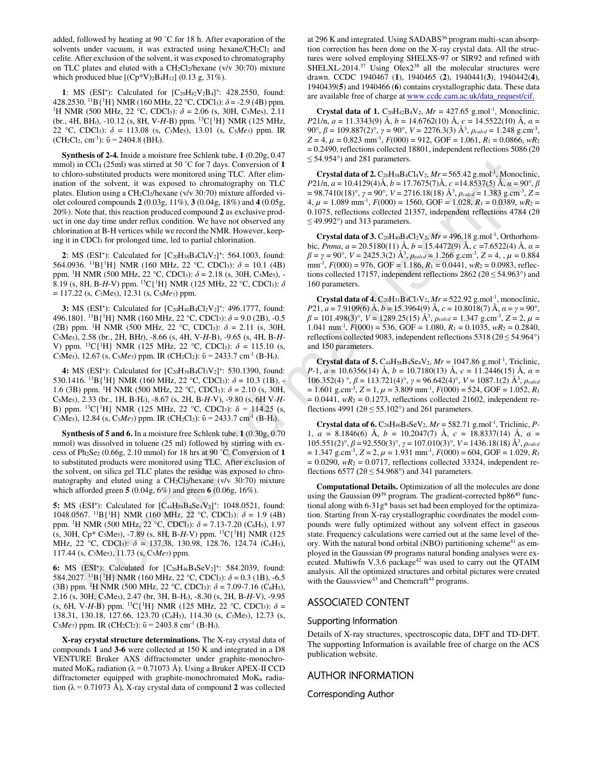added, followed by heating at 90 ˚C for 18 h. After evaporation of the solvents under vacuum, it was extracted using hexane/CH<sub>2</sub>Cl<sub>2</sub> and celite. After exclusion of the solvent, it was exposed to chromatography on TLC plates and eluted with a CH2Cl2/hexane (v/v 30:70) mixture which produced blue  $[(Cp*V)_2B_4H_{12}]$  (0.13 g, 31%).

1: MS (ESI<sup>+</sup>): Calculated for [C<sub>20</sub>H<sub>42</sub>V<sub>2</sub>B<sub>4</sub>]<sup>+</sup>: 428.2550, found: 428.2530. <sup>11</sup>B{<sup>1</sup>H} NMR (160 MHz, 22 °C, CDCl<sub>3</sub>):  $\delta$  = -2.9 (4B) ppm. <sup>1</sup>H NMR (500 MHz, 22 °C, CDCl<sub>3</sub>):  $\delta$  = 2.06 (s, 30H, C<sub>5</sub>Me<sub>5</sub>), 2.11 (br., 4H, BH*t*), -10.12 (s, 8H, V-*H*-B) ppm. <sup>13</sup>C{<sup>1</sup>H} NMR (125 MHz, 22 °C, CDCl3): *δ* = 113.08 (s, *C5*Me5), 13.01 (s, C5*Me5*) ppm. IR  $(CH<sub>2</sub>Cl<sub>2</sub>, cm<sup>-1</sup>)$ :  $\bar{v} = 2404.8$  (BH<sub>t</sub>).

**Synthesis of 2-4.** Inside a moisture free Schlenk tube, **1** (0.20g, 0.47 mmol) in CCl4 (25ml) was stirred at 50 ˚C for 7 days. Conversion of **1** to chloro-substituted products were monitored using TLC. After elimination of the solvent, it was exposed to chromatography on TLC plates. Elution using a CH2Cl2/hexane (v/v 30:70) mixture afforded violet coloured compounds **2** (0.03g, 11%), **3** (0.04g, 18%) and **4** (0.05g, 20%). Note that, this reaction produced compound **2** as exclusive product in one day time under reflux condition. We have not observed any chlorination at B-H vertices while we record the NMR. However, keeping it in CDCl3 for prolonged time, led to partial chlorination.

2: MS (ESI<sup>+</sup>): Calculated for  $[C_{20}H_{38}B_4Cl_4V_2]^+$ : 564.1003, found: 564.0936. <sup>11</sup>B{<sup>1</sup>H} NMR (160 MHz, 22 °C, CDCl<sub>3</sub>):  $\delta = 10.1$  (4B) ppm. <sup>1</sup>H NMR (500 MHz, 22 °C, CDCl3): *δ* = 2.18 (s, 30H, C5Me5), - 8.19 (s, 8H, B-*H*-V) ppm. <sup>13</sup>C{<sup>1</sup>H} NMR (125 MHz, 22 °C, CDCl3): *δ* = 117.22 (s, *C5*Me5), 12.31 (s, C5*Me5*) ppm.

**3:** MS (ESI<sup>+</sup>): Calculated for  $[C_{20}H_{40}B_4C_12V_2]^+$ : 496.1777, found: 496.1801. <sup>11</sup>B{<sup>1</sup>H} NMR (160 MHz, 22 °C, CDCl3): *δ* = 9.0 (2B), -0.5 (2B) ppm. <sup>1</sup>H NMR (500 MHz, 22 °C, CDCl3): *δ* = 2.11 (s, 30H, C5Me5), 2.58 (br., 2H, BH*t*), -8.66 (s, 4H, V-*H*-B), -9.65 (s, 4H, B-*H*-V) ppm. <sup>13</sup>C{<sup>1</sup>H} NMR (125 MHz, 22 °C, CDCl<sub>3</sub>):  $\delta$  = 115.10 (s, *C*<sub>5</sub>Me<sub>5</sub>), 12.67 (s, *C*<sub>5</sub>*Me<sub>5</sub>*) ppm. IR (*CH*<sub>2</sub>*Cl*<sub>2</sub>):  $\bar{v} = 2433.7$  cm<sup>-1</sup> (B-H<sub>t</sub>).

4: MS (ESI<sup>+</sup>): Calculated for [C<sub>20</sub>H<sub>39</sub>B<sub>4</sub>Cl<sub>3</sub>V<sub>2</sub>]<sup>+</sup>: 530.1390, found: 530.1416. <sup>11</sup>B{<sup>1</sup>H} NMR (160 MHz, 22 °C, CDCl<sub>3</sub>):  $\delta$  = 10.3 (1B), -1.6 (3B) ppm. <sup>1</sup>H NMR (500 MHz, 22 °C, CDCl<sub>3</sub>):  $\delta$  = 2.10 (s, 30H, C5Me5), 2.33 (br., 1H, B-H*t*), -8.67 (s, 2H, B-*H*-V), -9.80 (s, 6H V-*H*-B) ppm. <sup>13</sup>C{<sup>1</sup>H} NMR (125 MHz, 22 °C, CDCl<sub>3</sub>):  $\delta$  = 114.25 (s, *C*<sub>5</sub>Me<sub>5</sub>), 12.84 (s, *C*<sub>5</sub>*Me*<sub>5</sub>) ppm. IR (CH<sub>2</sub>Cl<sub>2</sub>):  $\bar{v} = 2433.7 \text{ cm}^{-1}$  (B-H<sub>t</sub>).

**Synthesis of 5 and 6.** In a moisture free Schlenk tube, **1** (0.30g, 0.70 mmol) was dissolved in toluene (25 ml) followed by stirring with excess of Ph2Se2 (0.66g, 2.10 mmol) for 18 hrs at 90 ˚C. Conversion of **1** to substituted products were monitored using TLC. After exclusion of the solvent, on silica gel TLC plates the residue was exposed to chromatography and eluted using a  $CH_2Cl_2/h$ exane (v/v 30:70) mixture which afforded green **5** (0.04g, 6%) and green **6** (0.06g, 16%).

**5:** MS (ESI<sup>+</sup>): Calculated for  $[C_{44}H_{58}B_4Se_4V_2]^+$ : 1048.0521, found: 1048.0567. <sup>11</sup>B{<sup>1</sup>H} NMR (160 MHz, 22 °C, CDCl<sub>3</sub>):  $\delta = 1.9$  (4B) ppm. <sup>1</sup>H NMR (500 MHz, 22 °C, CDCl<sub>3</sub>):  $\delta$  = 7.13-7.20 (C<sub>6</sub>H<sub>5</sub>), 1.97 (s, 30H, Cp\* C5Me5), -7.89 (s, 8H, B-*H*-V) ppm. <sup>13</sup>C{<sup>1</sup>H} NMR (125 MHz, 22 °C, CDCl<sub>3</sub>): δ = 137.38, 130.98, 128.76, 124.74 (C<sub>6</sub>H<sub>5</sub>), 117.44 (s, *C5*Me5), 11.73 (s, C5*Me5*) ppm.

6: MS (ESI<sup>+</sup>): Calculated for [C<sub>26</sub>H<sub>46</sub>B<sub>4</sub>SeV<sub>2</sub>]<sup>+</sup>: 584.2039, found: 584.2027. <sup>11</sup>B{<sup>1</sup>H} NMR (160 MHz, 22 °C, CDCl<sub>3</sub>):  $\delta$  = 0.3 (1B), -6.5 (3B) ppm. <sup>1</sup>H NMR (500 MHz, 22 °C, CDCl<sub>3</sub>):  $\delta$  = 7.09-7.16 (C<sub>6</sub>H<sub>5</sub>), 2.16 (s, 30H, C5Me5), 2.47 (br, 3H, B-H*t*), -8.30 (s, 2H, B-*H*-V), -9.95 (s, 6H, V-*H*-B) ppm. <sup>13</sup>C{<sup>1</sup>H} NMR (125 MHz, 22 °C, CDCl<sub>3</sub>):  $\delta$  = 138.31, 130.18, 127.66, 123.70 (C<sub>6</sub>H<sub>5</sub>), 114.30 (s, C<sub>5</sub>Me<sub>5</sub>), 12.73 (s, C<sub>5</sub>*Me<sub>5</sub>*) ppm. IR (CH<sub>2</sub>Cl<sub>2</sub>):  $\bar{v} = 2403.8$  cm<sup>-1</sup> (B-H<sub>t</sub>).

**X-ray crystal structure determinations.** The X-ray crystal data of compounds **1** and **3-6** were collected at 150 K and integrated in a D8 VENTURE Bruker AXS diffractometer under graphite-monochromated MoK<sub>α</sub> radiation ( $\lambda$  = 0.71073 Å). Using a Bruker APEX-II CCD diffractometer equipped with graphite-monochromated  $M \circ K_{\alpha}$  radiation ( $\lambda = 0.71073$  Å), X-ray crystal data of compound 2 was collected

at 296 K and integrated. Using SADABS<sup>36</sup> program multi-scan absorption correction has been done on the X-ray crystal data. All the structures were solved employing SHELXS-97 or SIR92 and refined with SHELXL-2014.<sup>37</sup> Using Olex2<sup>38</sup> all the molecular structures were drawn. CCDC 1940467 (**1**), 1940465 (**2**), 1940441(**3**), 1940442(**4**), 1940439(**5**) and 1940466 (**6**) contains crystallographic data. These data are available free of charge at www.ccdc.cam.ac.uk/data\_request/cif.

**Crystal data of 1.**  $C_{20}H_{42}B_{4}V_2$ ,  $Mr = 427.65$  g.mol<sup>-1</sup>, Monoclinic, *P*21/n, *a* = 11.3343(9) Å, *b* = 14.6762(10) Å, *c* = 14.5522(10) Å, *α* = 90°, *β* = 109.887(2)°, *γ* = 90°, *V* = 2276.3(3) Å<sup>3</sup>, *ρ*<sub>calcd</sub> = 1.248 g.cm<sup>-3</sup>,  $Z = 4$ ,  $\mu = 0.823$  mm<sup>-1</sup>,  $F(000) = 912$ , GOF = 1.061,  $R_1 = 0.0866$ ,  $wR_2$  $= 0.2490$ , reflections collected 18801, independent reflections 5086 (2 $\theta$ )  $\leq$  54.954°) and 281 parameters.

**Crystal data of 2.**  $C_{20}H_{38}B_{4}Cl_{4}V_{2}$ ,  $Mr = 565.42$  g.mol<sup>-1</sup>, Monoclinic, *P*21/n, *a* = 10.4129(4)Å, *b* = 17.7675(7)Å, *c* =14.8537(5) Å, *α* = 90°, *β*   $= 98.7410(18)^\circ$ ,  $\gamma = 90^\circ$ ,  $V = 2716.18(18)$   $\AA^3$ ,  $\rho_{\text{calcd}} = 1.383$  g.cm<sup>-3</sup>,  $Z =$  $4, \mu = 1.089$  mm<sup>-1</sup>,  $F(000) = 1560$ , GOF = 1.028,  $R_1 = 0.0389$ ,  $wR_2 =$ 0.1075, reflections collected 21357, independent reflections 4784 (2θ  $\leq$  49.992°) and 313 parameters.

**Crystal data of 3.**  $C_{20}H_{40}B_{4}Cl_{2}V_{2}$ ,  $Mr = 496.18$  g.mol<sup>-1</sup>, Orthorhombic, *Pnma*,  $a = 20.5180(11)$  Å,  $b = 15.4472(9)$  Å,  $c = 7.6522(4)$  Å,  $a =$  $\beta = \gamma = 90^{\circ}, V = 2425.3(2)$   $\mathring{A}^3$ ,  $\rho_{calcd} = 1.266$  g.cm<sup>-3</sup>, Z = 4, ,  $\mu = 0.884$ mm-1 , *F*(000) = 976, GOF = 1.186, *R*<sup>1</sup> = 0.0441, *wR*<sup>2</sup> = 0.0983, reflections collected 17157, independent reflections 2862 ( $2\theta \le 54.963^\circ$ ) and 160 parameters.

**Crystal data of 4.**  $C_{20}H_{31}B_4Cl_3V_2$ ,  $Mr = 522.92$  g.mol<sup>-1</sup>, monoclinic, *P*21, *a* = 7.9109(6) Å, *b* = 15.3964(9) Å, *c* = 10.8018(7) Å, *α* = *γ* = 90°,  $\beta = 101.498(3)$ °,  $V = 1289.25(15)$  Å<sup>3</sup>,  $\rho_{calcd} = 1.347$  g.cm<sup>-3</sup>,  $Z = 2$ ,  $\mu =$ 1.041 mm<sup>-1</sup>,  $F(000) = 536$ , GOF = 1.080,  $R_1 = 0.1035$ ,  $wR_2 = 0.2840$ , reflections collected 9083, independent reflections 5318 ( $2\theta \le 54.964^{\circ}$ ) and 150 parameters.

**Crystal data of 5.** C<sub>44</sub>H<sub>58</sub>B<sub>4</sub>Se<sub>4</sub>V<sub>2</sub>,  $Mr = 1047.86$  g.mol<sup>-1</sup>, Triclinic, *P*-1, *a* = 10.6356(14) Å, *b* = 10.7180(13) Å, *c* = 11.2446(15) Å, *α* =  $106.352(4)$  °,  $\beta = 113.721(4)$ °,  $\gamma = 96.642(4)$ °,  $V = 1087.1(2)$  Å<sup>3</sup>,  $\rho_{caled}$  $= 1.601$  g.cm<sup>-3</sup>,  $Z = 1$ ,  $\mu = 3.809$  mm<sup>-1</sup>,  $F(000) = 524$ , GOF = 1.052,  $R_1$  $= 0.0441$ ,  $wR_2 = 0.1273$ , reflections collected 21602, independent reflections 4991 ( $2\theta \le 55.102^{\circ}$ ) and 261 parameters.

**Crystal data of 6.**  $C_{26}H_{46}B_{4}SeV_2$ ,  $Mr = 582.71$  g.mol<sup>-1</sup>, Triclinic, *P*-1, *a* = 8.1846(6) Å, *b* = 10.2047(7) Å, *c* = 18.8337(14) Å, *α* = 105.551(2)°, *β* = 92.550(3)°, *γ* = 107.010(3)°, *V* = 1436.18(18) Å<sup>3</sup> , *ρcalcd*  $= 1.347$  g.cm<sup>-3</sup>,  $Z = 2$ ,  $\mu = 1.931$  mm<sup>-1</sup>,  $F(000) = 604$ , GOF = 1.029,  $R_1$  $= 0.0290$ ,  $wR_2 = 0.0717$ , reflections collected 33324, independent reflections 6577 ( $2\theta \le 54.968^\circ$ ) and 341 parameters.

**Computational Details.** Optimization of all the molecules are done using the Gaussian 09<sup>39</sup> program. The gradient-corrected bp86<sup>40</sup> functional along with 6-31g\* basis set had been employed for the optimization. Starting from X-ray crystallographic coordinates the model compounds were fully optimized without any solvent effect in gaseous state. Frequency calculations were carried out at the same level of theory. With the natural bond orbital (NBO) partitioning scheme<sup>41</sup> as employed in the Gaussian 09 programs natural bonding analyses were executed. Multiwfn V.3.6 package<sup>42</sup> was used to carry out the QTAIM analysis. All the optimized structures and orbital pictures were created with the Gaussview<sup>43</sup> and Chemcraft<sup>44</sup> programs. 30 in CTa, Comparison in the United Manuscript of Table 120 in 2008 in the United Manuscript of Comparison in the United Manuscript of the United Manuscript of the United Manuscript of the United Manuscript of the United

#### ASSOCIATED CONTENT

#### Supporting Information

Details of X-ray structures, spectroscopic data, DFT and TD-DFT. The supporting Information is available free of charge on the ACS publication website.

#### AUTHOR INFORMATION

Corresponding Author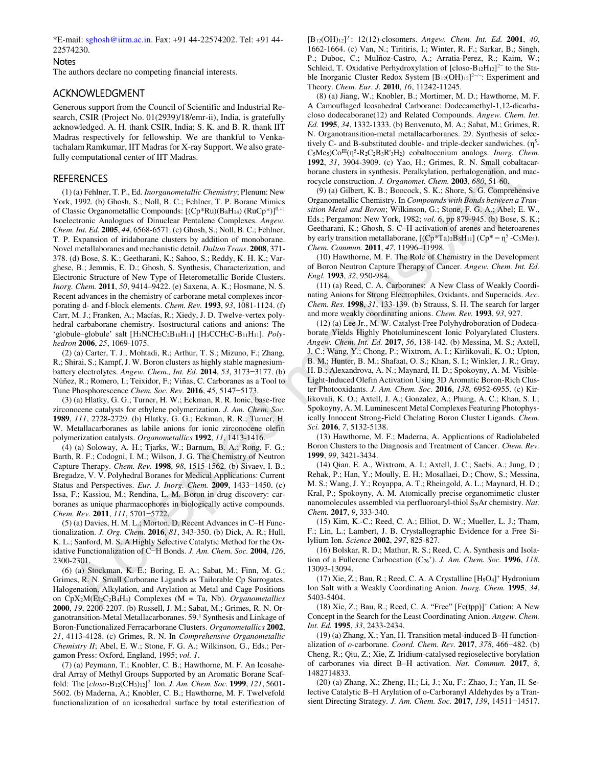\*E-mail[: sghosh@iitm.ac.in.](mailto:sghosh@iitm.ac.in) Fax: +91 44-22574202. Tel: +91 44- 22574230.

#### **Notes**

The authors declare no competing financial interests.

#### ACKNOWLEDGMENT

Generous support from the Council of Scientific and Industrial Research, CSIR (Project No. 01(2939)/18/emr-ii), India, is gratefully acknowledged. A. H. thank CSIR, India; S. K. and B. R. thank IIT Madras respectively for fellowship. We are thankful to Venkatachalam Ramkumar, IIT Madras for X-ray Support. We also gratefully computational center of IIT Madras.

#### **REFERENCES**

(1) (a) Fehlner, T. P., Ed. *Inorganometallic Chemistry*; Plenum: New York, 1992. (b) Ghosh, S.; Noll, B. C.; Fehlner, T. P. Borane Mimics of Classic Organometallic Compounds: [(Cp\*Ru)(B8H14) (RuCp\*)]<sup>0,+1</sup> Isoelectronic Analogues of Dinuclear Pentalene Complexes. *Angew. Chem. Int. Ed.* **2005**, *44*, 6568-6571. (c) Ghosh, S.; Noll, B. C.; Fehlner, T. P. Expansion of iridaborane clusters by addition of monoborane. Novel metallaboranes and mechanistic detail. *Dalton Trans*. **2008**, 371- 378. (d) Bose, S. K.; Geetharani, K.; Sahoo, S.; Reddy, K. H. K.; Varghese, B.; Jemmis, E. D.; Ghosh, S. Synthesis, Characterization, and Electronic Structure of New Type of Heterometallic Boride Clusters. *Inorg. Chem.* **2011**, *50*, 9414–9422. (e) Saxena, A. K.; Hosmane, N. S. Recent advances in the chemistry of carborane metal complexes incorporating d- and f-block elements. *Chem. Rev.* **1993**, *93*, 1081-1124. (f) Carr, M. J.; Franken, A.; Macías, R.; Xiedy, J. D. Twelve-vertex polyhedral carbaborane chemistry. Isostructural cations and anions: The 'globule–globule' salt [H3NCH2C2B10H11] [H3CCH2C-B11H11]. *Polyhedron* **2006**, *25*, 1069-1075. computational denier of III Madras.<br>
Vera 2000 and 1980 is 1700 300 is 1700 300 is 1700 300 is 1700 and 1980 and 1980 and 1980 and 1980 and 1980 and 1980 and 1980 and 1980 and 1980 and 1980 and 1980 and 1980 and 1980 and

(2) (a) Carter, T. J.; Mohtadi, R.; Arthur, T. S.; Mizuno, F.; Zhang, R.; Shirai, S.; Kampf, J. W. Boron clusters as highly stable magnesiumbattery electrolytes. *Angew. Chem., Int. Ed.* **2014**, *53*, 3173−3177. (b) Núñez, R.; Romero, I.; Teixidor, F.; Viñas, C. Carboranes as a Tool to Tune Phosphorescence *Chem. Soc. Rev.* **2016**, *45*, 5147−5173.

(3) (a) Hlatky, G. G.; Turner, H. W.; Eckman, R. R. Ionic, base-free zirconocene catalysts for ethylene polymerization. *J. Am. Chem. Soc.* **1989**, *111*, 2728-2729. (b) Hlatky, G. G.; Eckman, R. R.; Turner, H. W. Metallacarboranes as labile anions for ionic zirconocene olefin polymerization catalysts. *Organometallics* **1992**, *11*, 1413-1416.

(4) (a) Soloway, A. H.; Tjarks, W.; Barnum, B. A.; Rong, F. G.; Barth, R. F.; Codogni, I. M.; Wilson, J. G. The Chemistry of Neutron Capture Therapy. *Chem. Rev.* **1998**, *98*, 1515-1562. (b) Sivaev, I. B.; Bregadze, V. V. Polyhedral Boranes for Medical Applications: Current Status and Perspectives. *Eur. J. Inorg. Chem.* **2009**, 1433−1450. (c) Issa, F.; Kassiou, M.; Rendina, L. M. Boron in drug discovery: carboranes as unique pharmacophores in biologically active compounds. *Chem. Rev.* **2011**, *111*, 5701−5722.

(5) (a) Davies, H. M. L.; Morton, D. Recent Advances in C–H Functionalization. *J. Org. Chem.* **2016**, *81*, 343-350. (b) Dick, A. R.; Hull, K. L.; Sanford, M. S. A Highly Selective Catalytic Method for the Oxidative Functionalization of C−H Bonds. *J. Am. Chem. Soc.* **2004**, *126*, 2300-2301.

(6) (a) Stockman, K. E.; Boring, E. A.; Sabat, M.; Finn, M. G.; Grimes, R. N. Small Carborane Ligands as Tailorable Cp Surrogates. Halogenation, Alkylation, and Arylation at Metal and Cage Positions on CpX2M(Et2C2B4H4) Complexes (M = Ta, Nb). *Organometallics* **2000**, *19*, 2200-2207. (b) Russell, J. M.; Sabat, M.; Grimes, R. N. Organotransition-Metal Metallacarboranes. 59.<sup>1</sup> Synthesis and Linkage of Boron-Functionalized Ferracarborane Clusters. *Organometallics* **2002**, *21*, 4113-4128. (c) Grimes, R. N. In *Comprehensive Organometallic Chemistry II*; Abel, E. W.; Stone, F. G. A.; Wilkinson, G., Eds.; Pergamon Press: Oxford, England, 1995; *vol. 1*.

(7) (a) Peymann, T.; Knobler, C. B.; Hawthorne, M. F. An Icosahedral Array of Methyl Groups Supported by an Aromatic Borane Scaffold:  The [*closo*-B12(CH3)12] 2- Ion. *J. Am. Chem. Soc.* **1999**, *121*, 5601- 5602. (b) Maderna, A.; Knobler, C. B.; Hawthorne, M. F. Twelvefold functionalization of an icosahedral surface by total esterification of

[B12(OH)12] 2-: 12(12)-closomers. *Angew. Chem. Int. Ed.* **2001**, *40*, 1662-1664. (c) Van, N.; Tiritiris, I.; Winter, R. F.; Sarkar, B.; Singh, P.; Duboc, C.; MuIñoz-Castro, A.; Arratia-Perez, R.; Kaim, W.; Schleid, T. Oxidative Perhydroxylation of  $[close-B_{12}H_{12}]^{2-}$  to the Stable Inorganic Cluster Redox System  $[B_{12}(OH)_{12}]^{2-/-}$ : Experiment and Theory. *Chem. Eur. J.* **2010**, *16*, 11242-11245.

(8) (a) Jiang, W.; Knobler, B.; Mortimer, M. D.; Hawthorne, M. F. A Camouflaged Icosahedral Carborane: Dodecamethyl-1,12-dicarbacloso dodecaborane(12) and Related Compounds. *Angew. Chem. Int. Ed.* **1995**, *34*, 1332-1333. (b) Benvenuto, M. A.; Sabat, M.; Grimes, R. N. Organotransition-metal metallacarboranes. 29. Synthesis of selectively C- and B-substituted double- and triple-decker sandwiches.  $(\eta^5$ -C<sub>5</sub>Me<sub>5</sub>)Co<sup>III</sup>(η<sup>5</sup>-R<sub>2</sub>C<sub>2</sub>B<sub>3</sub>R'<sub>3</sub>H<sub>2</sub>) cobaltocenium analogs. *Inorg. Chem.* **1992**, *31*, 3904-3909. (c) Yao, H.; Grimes, R. N. Small cobaltacarborane clusters in synthesis. Peralkylation, perhalogenation, and macrocycle construction. *J. Organomet. Chem.* **2003**, *680*, 51-60.

(9) (a) Gilbert, K. B.; Boocock, S. K.; Shore, S. G. Comprehensive Organometallic Chemistry. In *Compounds with Bonds between a Transition Metal and Boron*; Wilkinson, G.; Stone, F. G. A.; Abel; E. W., Eds.; Pergamon: New York, 1982; *vol. 6*, pp 879-945. (b) Bose, S. K.; Geetharani, K.; Ghosh, S. C–H activation of arenes and heteroarenes by early transition metallaborane,  $[(Cp*Ta)2B_5H_{11}] (Cp* = n^5 - C_5Me_5)$ . *Chem. Commun.* **2011**, *47*, 11996–11998.

(10) Hawthorne, M. F. The Role of Chemistry in the Development of Boron Neutron Capture Therapy of Cancer. *Angew. Chem. Int. Ed. Engl.* **1993**, *32*, 950-984.

(11) (a) Reed, C. A. Carboranes:  A New Class of Weakly Coordinating Anions for Strong Electrophiles, Oxidants, and Superacids. *Acc. Chem. Res.* **1998**, *31*, 133-139. (b) Strauss, S. H. The search for larger and more weakly coordinating anions. *Chem. Rev.* **1993**, *93*, 927.

(12) (a) Lee Jr., M. W. Catalyst‐Free Polyhydroboration of Dodecaborate Yields Highly Photoluminescent Ionic Polyarylated Clusters. *Angew. Chem. Int. Ed.* **2017**, *56*, 138-142. (b) Messina, M. S.; Axtell, J. C.; Wang, Y.; Chong, P.; Wixtrom, A. I.; Kirlikovali, K. O.; Upton, B. M.; Hunter, B. M.; Shafaat, O. S.; Khan, S. I.; Winkler, J. R.; Gray, H. B.; Alexandrova, A. N.; Maynard, H. D.; Spokoyny, A. M. Visible-Light-Induced Olefin Activation Using 3D Aromatic Boron-Rich Cluster Photooxidants. *J. Am. Chem. Soc.* **2016**, *138*, 6952-6955. (c) Kirlikovali, K. O.; Axtell, J. A.; Gonzalez, A.; Phung, A. C.; Khan, S. I.; Spokoyny, A. M. Luminescent Metal Complexes Featuring Photophysically Innocent Strong-Field Chelating Boron Cluster Ligands. *Chem. Sci.* **2016**, *7*, 5132-5138.

(13) Hawthorne, M. F.; Maderna, A. Applications of Radiolabeled Boron Clusters to the Diagnosis and Treatment of Cancer. *Chem. Rev.* **1999**, *99*, 3421-3434.

(14) Qian, E. A., Wixtrom, A. I.; Axtell, J. C.; Saebi, A.; Jung, D.; Rehak, P.; Han, Y.; Moully, E. H.; Mosallaei, D.; Chow, S.; Messina, M. S.; Wang, J. Y.; Royappa, A. T.; Rheingold, A. L.; Maynard, H. D.; Kral, P.; Spokoyny, A. M. Atomically precise organomimetic cluster nanomolecules assembled via perfluoroaryl-thiol S<sub>N</sub>Ar chemistry. Nat. *Chem.* **2017**, *9*, 333-340.

(15) Kim, K.-C.; Reed, C. A.; Elliot, D. W.; Mueller, L. J.; Tham, F.; Lin, L.; Lambert, J. B. Crystallographic Evidence for a Free Silylium Ion. *Science* **2002**, *297*, 825-827.

(16) Bolskar, R. D.; Mathur, R. S.; Reed, C. A. Synthesis and Isolation of a Fullerene Carbocation (C76<sup>+</sup> ). *J. Am. Chem. Soc.* **1996**, *118*, 13093-13094.

(17) Xie, Z.; Bau, R.; Reed, C. A. A Crystalline [H<sub>9</sub>O<sub>4</sub>]<sup>+</sup> Hydronium Ion Salt with a Weakly Coordinating Anion. *Inorg. Chem.* **1995**, *34*, 5403-5404.

(18) Xie, Z.; Bau, R.; Reed, C. A. "Free" [Fe(tpp)]<sup>+</sup> Cation: A New Concept in the Search for the Least Coordinating Anion. *Angew. Chem. Int. Ed.* **1995**, *33*, 2433-2434.

(19) (a) Zhang, X.; Yan, H. Transition metal-induced B–H functionalization of *o*-carborane. *Coord. Chem. Rev.* **2017**, *378*, 466−482. (b) Cheng, R.; Qiu, Z.; Xie, Z. Iridium-catalysed regioselective borylation of carboranes via direct B–H activation. *Nat. Commun.* **2017**, *8*, 1482714833.

(20) (a) Zhang, X.; Zheng, H.; Li, J.; Xu, F.; Zhao, J.; Yan, H. Selective Catalytic B–H Arylation of o-Carboranyl Aldehydes by a Transient Directing Strategy. *J. Am. Chem. Soc.* **2017**, *139*, 14511−14517.